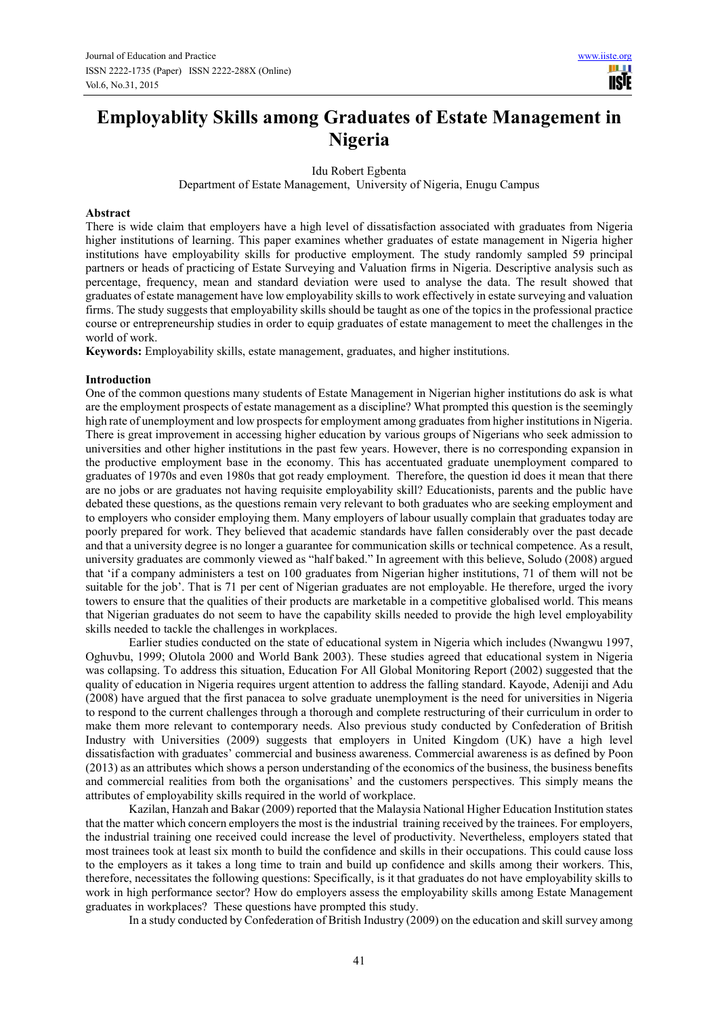# **Employablity Skills among Graduates of Estate Management in Nigeria**

Idu Robert Egbenta

Department of Estate Management, University of Nigeria, Enugu Campus

#### **Abstract**

There is wide claim that employers have a high level of dissatisfaction associated with graduates from Nigeria higher institutions of learning. This paper examines whether graduates of estate management in Nigeria higher institutions have employability skills for productive employment. The study randomly sampled 59 principal partners or heads of practicing of Estate Surveying and Valuation firms in Nigeria. Descriptive analysis such as percentage, frequency, mean and standard deviation were used to analyse the data. The result showed that graduates of estate management have low employability skills to work effectively in estate surveying and valuation firms. The study suggests that employability skills should be taught as one of the topics in the professional practice course or entrepreneurship studies in order to equip graduates of estate management to meet the challenges in the world of work.

**Keywords:** Employability skills, estate management, graduates, and higher institutions.

#### **Introduction**

One of the common questions many students of Estate Management in Nigerian higher institutions do ask is what are the employment prospects of estate management as a discipline? What prompted this question is the seemingly high rate of unemployment and low prospects for employment among graduates from higher institutions in Nigeria. There is great improvement in accessing higher education by various groups of Nigerians who seek admission to universities and other higher institutions in the past few years. However, there is no corresponding expansion in the productive employment base in the economy. This has accentuated graduate unemployment compared to graduates of 1970s and even 1980s that got ready employment. Therefore, the question id does it mean that there are no jobs or are graduates not having requisite employability skill? Educationists, parents and the public have debated these questions, as the questions remain very relevant to both graduates who are seeking employment and to employers who consider employing them. Many employers of labour usually complain that graduates today are poorly prepared for work. They believed that academic standards have fallen considerably over the past decade and that a university degree is no longer a guarantee for communication skills or technical competence. As a result, university graduates are commonly viewed as "half baked." In agreement with this believe, Soludo (2008) argued that 'if a company administers a test on 100 graduates from Nigerian higher institutions, 71 of them will not be suitable for the job'. That is 71 per cent of Nigerian graduates are not employable. He therefore, urged the ivory towers to ensure that the qualities of their products are marketable in a competitive globalised world. This means that Nigerian graduates do not seem to have the capability skills needed to provide the high level employability skills needed to tackle the challenges in workplaces.

Earlier studies conducted on the state of educational system in Nigeria which includes (Nwangwu 1997, Oghuvbu, 1999; Olutola 2000 and World Bank 2003). These studies agreed that educational system in Nigeria was collapsing. To address this situation, Education For All Global Monitoring Report (2002) suggested that the quality of education in Nigeria requires urgent attention to address the falling standard. Kayode, Adeniji and Adu (2008) have argued that the first panacea to solve graduate unemployment is the need for universities in Nigeria to respond to the current challenges through a thorough and complete restructuring of their curriculum in order to make them more relevant to contemporary needs. Also previous study conducted by Confederation of British Industry with Universities (2009) suggests that employers in United Kingdom (UK) have a high level dissatisfaction with graduates' commercial and business awareness. Commercial awareness is as defined by Poon (2013) as an attributes which shows a person understanding of the economics of the business, the business benefits and commercial realities from both the organisations' and the customers perspectives. This simply means the attributes of employability skills required in the world of workplace.

Kazilan, Hanzah and Bakar (2009) reported that the Malaysia National Higher Education Institution states that the matter which concern employers the most is the industrial training received by the trainees. For employers, the industrial training one received could increase the level of productivity. Nevertheless, employers stated that most trainees took at least six month to build the confidence and skills in their occupations. This could cause loss to the employers as it takes a long time to train and build up confidence and skills among their workers. This, therefore, necessitates the following questions: Specifically, is it that graduates do not have employability skills to work in high performance sector? How do employers assess the employability skills among Estate Management graduates in workplaces? These questions have prompted this study.

In a study conducted by Confederation of British Industry (2009) on the education and skill survey among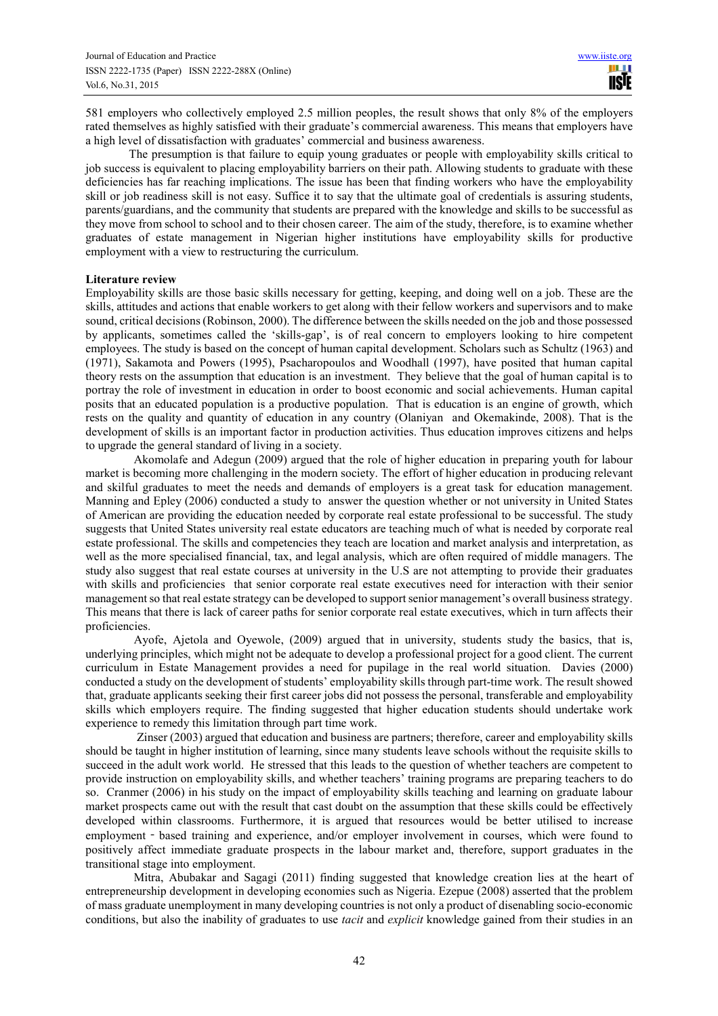581 employers who collectively employed 2.5 million peoples, the result shows that only 8% of the employers rated themselves as highly satisfied with their graduate's commercial awareness. This means that employers have a high level of dissatisfaction with graduates' commercial and business awareness.

The presumption is that failure to equip young graduates or people with employability skills critical to job success is equivalent to placing employability barriers on their path. Allowing students to graduate with these deficiencies has far reaching implications. The issue has been that finding workers who have the employability skill or job readiness skill is not easy. Suffice it to say that the ultimate goal of credentials is assuring students, parents/guardians, and the community that students are prepared with the knowledge and skills to be successful as they move from school to school and to their chosen career. The aim of the study, therefore, is to examine whether graduates of estate management in Nigerian higher institutions have employability skills for productive employment with a view to restructuring the curriculum.

## **Literature review**

Employability skills are those basic skills necessary for getting, keeping, and doing well on a job. These are the skills, attitudes and actions that enable workers to get along with their fellow workers and supervisors and to make sound, critical decisions (Robinson, 2000). The difference between the skills needed on the job and those possessed by applicants, sometimes called the 'skills-gap', is of real concern to employers looking to hire competent employees. The study is based on the concept of human capital development. Scholars such as Schultz (1963) and (1971), Sakamota and Powers (1995), Psacharopoulos and Woodhall (1997), have posited that human capital theory rests on the assumption that education is an investment. They believe that the goal of human capital is to portray the role of investment in education in order to boost economic and social achievements. Human capital posits that an educated population is a productive population. That is education is an engine of growth, which rests on the quality and quantity of education in any country (Olaniyan and Okemakinde, 2008). That is the development of skills is an important factor in production activities. Thus education improves citizens and helps to upgrade the general standard of living in a society.

Akomolafe and Adegun (2009) argued that the role of higher education in preparing youth for labour market is becoming more challenging in the modern society. The effort of higher education in producing relevant and skilful graduates to meet the needs and demands of employers is a great task for education management. Manning and Epley (2006) conducted a study to answer the question whether or not university in United States of American are providing the education needed by corporate real estate professional to be successful. The study suggests that United States university real estate educators are teaching much of what is needed by corporate real estate professional. The skills and competencies they teach are location and market analysis and interpretation, as well as the more specialised financial, tax, and legal analysis, which are often required of middle managers. The study also suggest that real estate courses at university in the U.S are not attempting to provide their graduates with skills and proficiencies that senior corporate real estate executives need for interaction with their senior management so that real estate strategy can be developed to support senior management's overall business strategy. This means that there is lack of career paths for senior corporate real estate executives, which in turn affects their proficiencies.

Ayofe, Ajetola and Oyewole, (2009) argued that in university, students study the basics, that is, underlying principles, which might not be adequate to develop a professional project for a good client. The current curriculum in Estate Management provides a need for pupilage in the real world situation. Davies (2000) conducted a study on the development of students' employability skills through part-time work. The result showed that, graduate applicants seeking their first career jobs did not possess the personal, transferable and employability skills which employers require. The finding suggested that higher education students should undertake work experience to remedy this limitation through part time work.

 Zinser (2003) argued that education and business are partners; therefore, career and employability skills should be taught in higher institution of learning, since many students leave schools without the requisite skills to succeed in the adult work world. He stressed that this leads to the question of whether teachers are competent to provide instruction on employability skills, and whether teachers' training programs are preparing teachers to do so. Cranmer (2006) in his study on the impact of employability skills teaching and learning on graduate labour market prospects came out with the result that cast doubt on the assumption that these skills could be effectively developed within classrooms. Furthermore, it is argued that resources would be better utilised to increase employment - based training and experience, and/or employer involvement in courses, which were found to positively affect immediate graduate prospects in the labour market and, therefore, support graduates in the transitional stage into employment.

Mitra, Abubakar and Sagagi (2011) finding suggested that knowledge creation lies at the heart of entrepreneurship development in developing economies such as Nigeria. Ezepue (2008) asserted that the problem of mass graduate unemployment in many developing countries is not only a product of disenabling socio-economic conditions, but also the inability of graduates to use *tacit* and *explicit* knowledge gained from their studies in an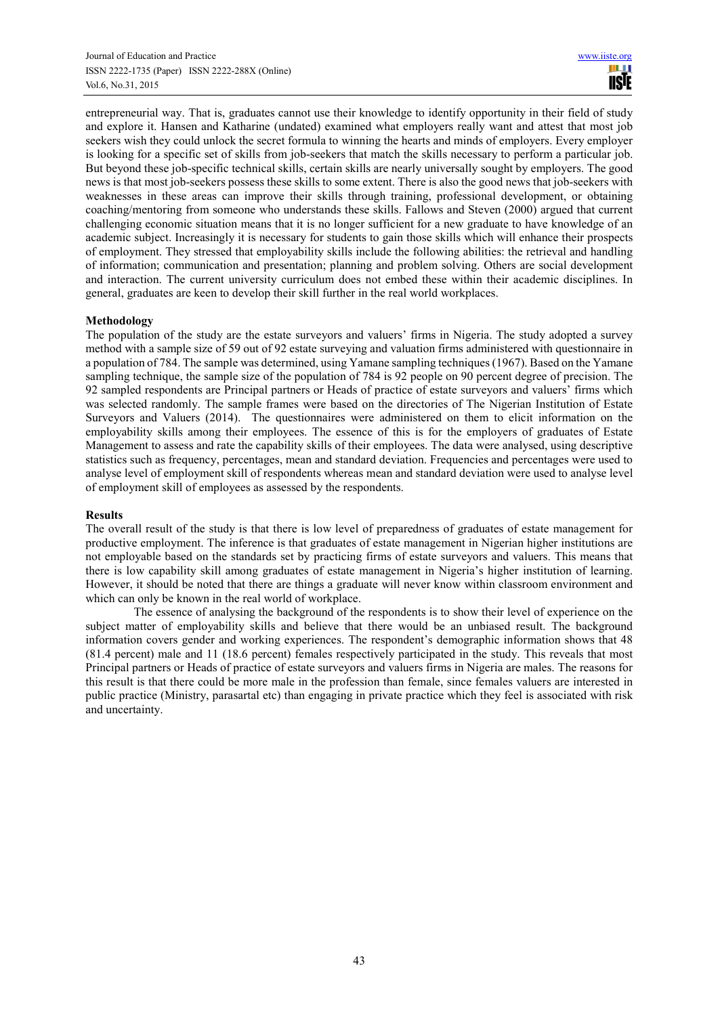entrepreneurial way. That is, graduates cannot use their knowledge to identify opportunity in their field of study and explore it. Hansen and Katharine (undated) examined what employers really want and attest that most job seekers wish they could unlock the secret formula to winning the hearts and minds of employers. Every employer is looking for a specific set of skills from job-seekers that match the skills necessary to perform a particular job. But beyond these job-specific technical skills, certain skills are nearly universally sought by employers. The good news is that most job-seekers possess these skills to some extent. There is also the good news that job-seekers with weaknesses in these areas can improve their skills through training, professional development, or obtaining coaching/mentoring from someone who understands these skills. Fallows and Steven (2000) argued that current challenging economic situation means that it is no longer sufficient for a new graduate to have knowledge of an academic subject. Increasingly it is necessary for students to gain those skills which will enhance their prospects of employment. They stressed that employability skills include the following abilities: the retrieval and handling of information; communication and presentation; planning and problem solving. Others are social development and interaction. The current university curriculum does not embed these within their academic disciplines. In general, graduates are keen to develop their skill further in the real world workplaces.

# **Methodology**

The population of the study are the estate surveyors and valuers' firms in Nigeria. The study adopted a survey method with a sample size of 59 out of 92 estate surveying and valuation firms administered with questionnaire in a population of 784. The sample was determined, using Yamane sampling techniques (1967). Based on the Yamane sampling technique, the sample size of the population of 784 is 92 people on 90 percent degree of precision. The 92 sampled respondents are Principal partners or Heads of practice of estate surveyors and valuers' firms which was selected randomly. The sample frames were based on the directories of The Nigerian Institution of Estate Surveyors and Valuers (2014). The questionnaires were administered on them to elicit information on the employability skills among their employees. The essence of this is for the employers of graduates of Estate Management to assess and rate the capability skills of their employees. The data were analysed, using descriptive statistics such as frequency, percentages, mean and standard deviation. Frequencies and percentages were used to analyse level of employment skill of respondents whereas mean and standard deviation were used to analyse level of employment skill of employees as assessed by the respondents.

# **Results**

The overall result of the study is that there is low level of preparedness of graduates of estate management for productive employment. The inference is that graduates of estate management in Nigerian higher institutions are not employable based on the standards set by practicing firms of estate surveyors and valuers. This means that there is low capability skill among graduates of estate management in Nigeria's higher institution of learning. However, it should be noted that there are things a graduate will never know within classroom environment and which can only be known in the real world of workplace.

The essence of analysing the background of the respondents is to show their level of experience on the subject matter of employability skills and believe that there would be an unbiased result. The background information covers gender and working experiences. The respondent's demographic information shows that 48 (81.4 percent) male and 11 (18.6 percent) females respectively participated in the study. This reveals that most Principal partners or Heads of practice of estate surveyors and valuers firms in Nigeria are males. The reasons for this result is that there could be more male in the profession than female, since females valuers are interested in public practice (Ministry, parasartal etc) than engaging in private practice which they feel is associated with risk and uncertainty.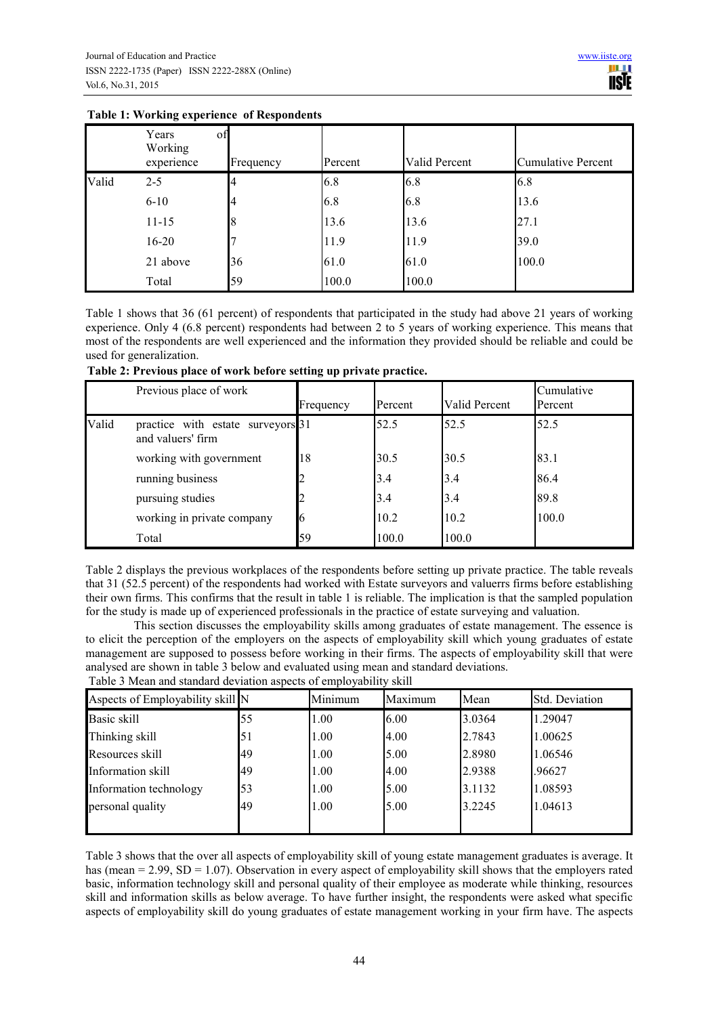|       | Years<br>Working<br>experience | of<br>Frequency | Percent | Valid Percent | <b>Cumulative Percent</b> |
|-------|--------------------------------|-----------------|---------|---------------|---------------------------|
| Valid | $2 - 5$                        |                 | 6.8     | 6.8           | 6.8                       |
|       | $6 - 10$                       | 4               | 6.8     | 6.8           | 13.6                      |
|       | $11 - 15$                      |                 | 13.6    | 13.6          | 27.1                      |
|       | $16 - 20$                      |                 | 11.9    | 11.9          | 39.0                      |
|       | 21 above                       | 36              | 61.0    | 61.0          | 100.0                     |
|       | Total                          | 59              | 100.0   | 100.0         |                           |

# **Table 1: Working experience of Respondents**

Table 1 shows that 36 (61 percent) of respondents that participated in the study had above 21 years of working experience. Only 4 (6.8 percent) respondents had between 2 to 5 years of working experience. This means that most of the respondents are well experienced and the information they provided should be reliable and could be used for generalization.

|       | Previous place of work                                 | Frequency | Percent | Valid Percent | Cumulative<br>Percent |
|-------|--------------------------------------------------------|-----------|---------|---------------|-----------------------|
| Valid | practice with estate surveyors 31<br>and valuers' firm |           | 52.5    | 52.5          | 52.5                  |
|       | working with government                                | 18        | 30.5    | 30.5          | 83.1                  |
|       | running business                                       | 2         | 3.4     | 3.4           | 86.4                  |
|       | pursuing studies                                       | 2         | 3.4     | 3.4           | 89.8                  |
|       | working in private company                             | 6         | 10.2    | 10.2          | 100.0                 |
|       | Total                                                  | 59        | 100.0   | 100.0         |                       |

Table 2 displays the previous workplaces of the respondents before setting up private practice. The table reveals that 31 (52.5 percent) of the respondents had worked with Estate surveyors and valuerrs firms before establishing their own firms. This confirms that the result in table 1 is reliable. The implication is that the sampled population for the study is made up of experienced professionals in the practice of estate surveying and valuation.

This section discusses the employability skills among graduates of estate management. The essence is to elicit the perception of the employers on the aspects of employability skill which young graduates of estate management are supposed to possess before working in their firms. The aspects of employability skill that were analysed are shown in table 3 below and evaluated using mean and standard deviations. Table 3 Mean and standard deviation aspects of employability skill

| Aspects of Employability skill N |    | Minimum | Maximum | Mean   | Std. Deviation |
|----------------------------------|----|---------|---------|--------|----------------|
| Basic skill                      | 55 | 1.00    | 6.00    | 3.0364 | 1.29047        |
| Thinking skill                   | 51 | 1.00    | 4.00    | 2.7843 | 1.00625        |
| Resources skill                  | 49 | 1.00    | 5.00    | 2.8980 | 1.06546        |
| Information skill                | 49 | 1.00    | 4.00    | 2.9388 | .96627         |
| Information technology           | 53 | 1.00    | 5.00    | 3.1132 | 1.08593        |
| personal quality                 | 49 | 1.00    | 5.00    | 3.2245 | 1.04613        |
|                                  |    |         |         |        |                |

Table 3 shows that the over all aspects of employability skill of young estate management graduates is average. It has (mean = 2.99, SD = 1.07). Observation in every aspect of employability skill shows that the employers rated basic, information technology skill and personal quality of their employee as moderate while thinking, resources skill and information skills as below average. To have further insight, the respondents were asked what specific aspects of employability skill do young graduates of estate management working in your firm have. The aspects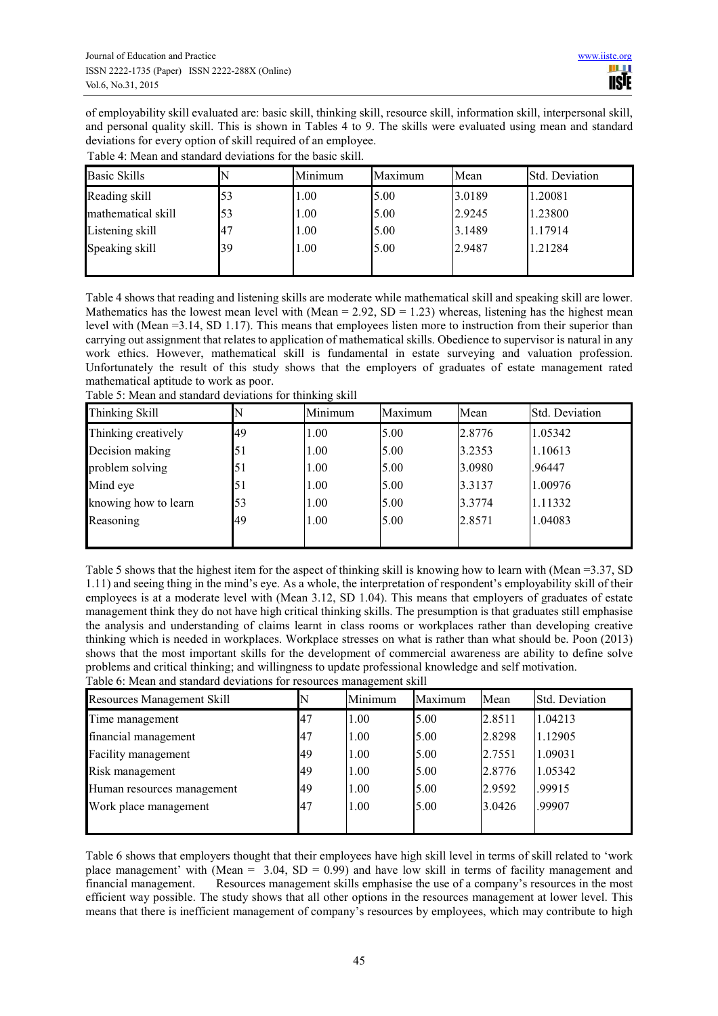of employability skill evaluated are: basic skill, thinking skill, resource skill, information skill, interpersonal skill, and personal quality skill. This is shown in Tables 4 to 9. The skills were evaluated using mean and standard deviations for every option of skill required of an employee.

| <b>Basic Skills</b> |    | Minimum | Maximum | Mean   | Std. Deviation |
|---------------------|----|---------|---------|--------|----------------|
| Reading skill       | 53 | 1.00    | 5.00    | 3.0189 | 1.20081        |
| mathematical skill  | 53 | 1.00    | 5.00    | 2.9245 | 1.23800        |
| Listening skill     | 47 | 1.00    | 5.00    | 3.1489 | 1.17914        |
| Speaking skill      | 39 | 1.00    | 5.00    | 2.9487 | 1.21284        |
|                     |    |         |         |        |                |

Table 4 shows that reading and listening skills are moderate while mathematical skill and speaking skill are lower. Mathematics has the lowest mean level with (Mean =  $2.92$ , SD = 1.23) whereas, listening has the highest mean level with (Mean =3.14, SD 1.17). This means that employees listen more to instruction from their superior than carrying out assignment that relates to application of mathematical skills. Obedience to supervisor is natural in any work ethics. However, mathematical skill is fundamental in estate surveying and valuation profession. Unfortunately the result of this study shows that the employers of graduates of estate management rated mathematical aptitude to work as poor.

| Thinking Skill       |    | Minimum | Maximum | Mean   | <b>Std. Deviation</b> |
|----------------------|----|---------|---------|--------|-----------------------|
| Thinking creatively  | 49 | 1.00    | 5.00    | 2.8776 | 1.05342               |
| Decision making      | 51 | 1.00    | 5.00    | 3.2353 | 1.10613               |
| problem solving      | 51 | 1.00    | 5.00    | 3.0980 | .96447                |
| Mind eye             | 51 | 1.00    | 5.00    | 3.3137 | 1.00976               |
| knowing how to learn | 53 | 1.00    | 5.00    | 3.3774 | 1.11332               |
| Reasoning            | 49 | 1.00    | 5.00    | 2.8571 | 1.04083               |
|                      |    |         |         |        |                       |

Table 5: Mean and standard deviations for thinking skill

Table 5 shows that the highest item for the aspect of thinking skill is knowing how to learn with (Mean =3.37, SD 1.11) and seeing thing in the mind's eye. As a whole, the interpretation of respondent's employability skill of their employees is at a moderate level with (Mean 3.12, SD 1.04). This means that employers of graduates of estate management think they do not have high critical thinking skills. The presumption is that graduates still emphasise the analysis and understanding of claims learnt in class rooms or workplaces rather than developing creative thinking which is needed in workplaces. Workplace stresses on what is rather than what should be. Poon (2013) shows that the most important skills for the development of commercial awareness are ability to define solve problems and critical thinking; and willingness to update professional knowledge and self motivation. Table 6: Mean and standard deviations for resources management skill

| <b>Resources Management Skill</b> |    | Minimum | Maximum | Mean   | <b>Std. Deviation</b> |
|-----------------------------------|----|---------|---------|--------|-----------------------|
| Time management                   | 47 | 1.00    | 5.00    | 2.8511 | 1.04213               |
| financial management              | 47 | 1.00    | 5.00    | 2.8298 | 1.12905               |
| Facility management               | 49 | 1.00    | 5.00    | 2.7551 | 1.09031               |
| Risk management                   | 49 | 1.00    | 5.00    | 2.8776 | 1.05342               |
| Human resources management        | 49 | 1.00    | 5.00    | 2.9592 | .99915                |
| Work place management             | 47 | 1.00    | 5.00    | 3.0426 | .99907                |
|                                   |    |         |         |        |                       |

Table 6 shows that employers thought that their employees have high skill level in terms of skill related to 'work place management' with (Mean =  $3.04$ , SD = 0.99) and have low skill in terms of facility management and financial management. Resources management skills emphasise the use of a company's resources in the most efficient way possible. The study shows that all other options in the resources management at lower level. This means that there is inefficient management of company's resources by employees, which may contribute to high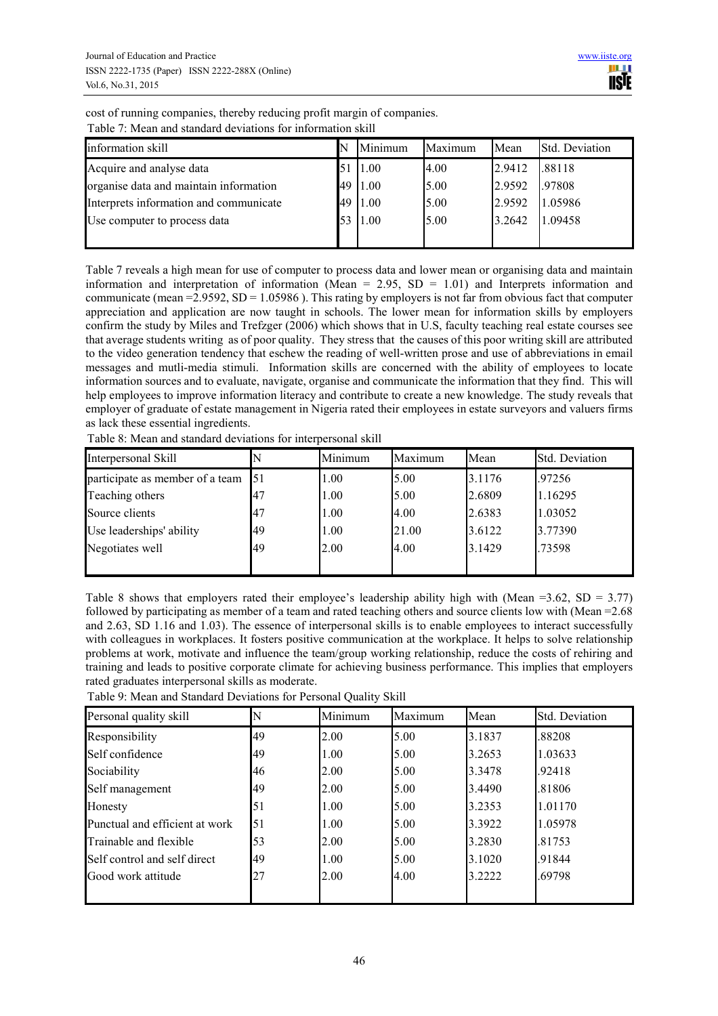| cost of running companies, thereby reducing profit margin of companies. |  |
|-------------------------------------------------------------------------|--|
| Table 7: Mean and standard deviations for information skill             |  |

| TWOTA A THRAIL ANA DAIREACH AN FIANCHOIR TOT INTOITIME DIVITI |    |         |         |        |                       |
|---------------------------------------------------------------|----|---------|---------|--------|-----------------------|
| information skill                                             |    | Minimum | Maximum | Mean   | <b>Std. Deviation</b> |
| Acquire and analyse data                                      |    | 1.00    | 4.00    | 2.9412 | .88118                |
| organise data and maintain information                        | 49 | 1.00    | 5.00    | 2.9592 | .97808                |
| Interprets information and communicate                        | 49 | 1.00    | 5.00    | 2.9592 | 1.05986               |
| Use computer to process data                                  |    | 1.00    | 5.00    | 3.2642 | 1.09458               |
|                                                               |    |         |         |        |                       |

Table 7 reveals a high mean for use of computer to process data and lower mean or organising data and maintain information and interpretation of information (Mean = 2.95, SD = 1.01) and Interprets information and communicate (mean =  $2.9592$ , SD =  $1.05986$ ). This rating by employers is not far from obvious fact that computer appreciation and application are now taught in schools. The lower mean for information skills by employers confirm the study by Miles and Trefzger (2006) which shows that in U.S, faculty teaching real estate courses see that average students writing as of poor quality. They stress that the causes of this poor writing skill are attributed to the video generation tendency that eschew the reading of well-written prose and use of abbreviations in email messages and mutli-media stimuli. Information skills are concerned with the ability of employees to locate information sources and to evaluate, navigate, organise and communicate the information that they find. This will help employees to improve information literacy and contribute to create a new knowledge. The study reveals that employer of graduate of estate management in Nigeria rated their employees in estate surveyors and valuers firms as lack these essential ingredients.

Table 8: Mean and standard deviations for interpersonal skill

| Interpersonal Skill             |    | Minimum | Maximum | Mean   | Std. Deviation |
|---------------------------------|----|---------|---------|--------|----------------|
| participate as member of a team | 51 | 1.00    | 5.00    | 3.1176 | .97256         |
| Teaching others                 |    | 1.00    | 5.00    | 2.6809 | 1.16295        |
| Source clients                  | 47 | 1.00    | 4.00    | 2.6383 | 1.03052        |
| Use leaderships' ability        | 49 | 1.00    | 21.00   | 3.6122 | 3.77390        |
| Negotiates well                 | 49 | 2.00    | 4.00    | 3.1429 | .73598         |
|                                 |    |         |         |        |                |

Table 8 shows that employers rated their employee's leadership ability high with (Mean =3.62, SD = 3.77) followed by participating as member of a team and rated teaching others and source clients low with (Mean =2.68 and 2.63, SD 1.16 and 1.03). The essence of interpersonal skills is to enable employees to interact successfully with colleagues in workplaces. It fosters positive communication at the workplace. It helps to solve relationship problems at work, motivate and influence the team/group working relationship, reduce the costs of rehiring and training and leads to positive corporate climate for achieving business performance. This implies that employers rated graduates interpersonal skills as moderate.

| Personal quality skill         |    | Minimum | Maximum | Mean   | Std. Deviation |
|--------------------------------|----|---------|---------|--------|----------------|
| Responsibility                 | 49 | 2.00    | 5.00    | 3.1837 | .88208         |
| Self confidence                | 49 | 1.00    | 5.00    | 3.2653 | 1.03633        |
| Sociability                    | 46 | 2.00    | 5.00    | 3.3478 | .92418         |
| Self management                | 49 | 2.00    | 5.00    | 3.4490 | .81806         |
| Honesty                        | 51 | 1.00    | 5.00    | 3.2353 | 1.01170        |
| Punctual and efficient at work | 51 | 1.00    | 5.00    | 3.3922 | 1.05978        |
| Trainable and flexible         | 53 | 2.00    | 5.00    | 3.2830 | .81753         |
| Self control and self direct   | 49 | 1.00    | 5.00    | 3.1020 | .91844         |
| Good work attitude             | 27 | 2.00    | 4.00    | 3.2222 | .69798         |
|                                |    |         |         |        |                |

Table 9: Mean and Standard Deviations for Personal Quality Skill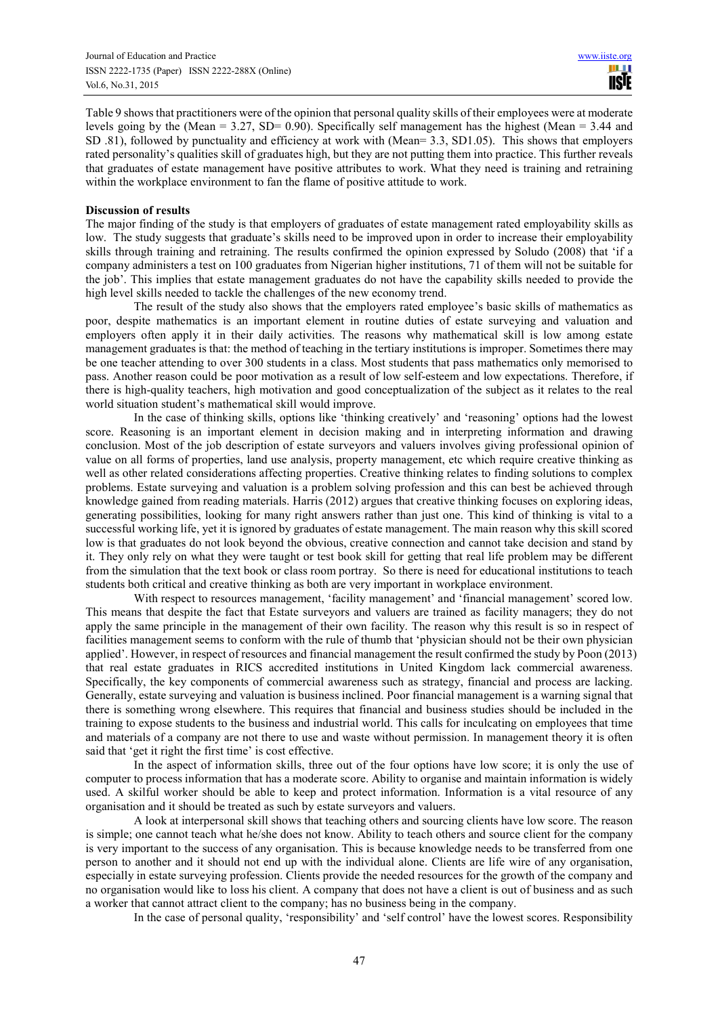Table 9 shows that practitioners were of the opinion that personal quality skills of their employees were at moderate levels going by the (Mean = 3.27, SD= 0.90). Specifically self management has the highest (Mean =  $3.44$  and SD .81), followed by punctuality and efficiency at work with (Mean= 3.3, SD1.05). This shows that employers rated personality's qualities skill of graduates high, but they are not putting them into practice. This further reveals that graduates of estate management have positive attributes to work. What they need is training and retraining within the workplace environment to fan the flame of positive attitude to work.

## **Discussion of results**

The major finding of the study is that employers of graduates of estate management rated employability skills as low. The study suggests that graduate's skills need to be improved upon in order to increase their employability skills through training and retraining. The results confirmed the opinion expressed by Soludo (2008) that 'if a company administers a test on 100 graduates from Nigerian higher institutions, 71 of them will not be suitable for the job'. This implies that estate management graduates do not have the capability skills needed to provide the high level skills needed to tackle the challenges of the new economy trend.

The result of the study also shows that the employers rated employee's basic skills of mathematics as poor, despite mathematics is an important element in routine duties of estate surveying and valuation and employers often apply it in their daily activities. The reasons why mathematical skill is low among estate management graduates is that: the method of teaching in the tertiary institutions is improper. Sometimes there may be one teacher attending to over 300 students in a class. Most students that pass mathematics only memorised to pass. Another reason could be poor motivation as a result of low self-esteem and low expectations. Therefore, if there is high-quality teachers, high motivation and good conceptualization of the subject as it relates to the real world situation student's mathematical skill would improve.

In the case of thinking skills, options like 'thinking creatively' and 'reasoning' options had the lowest score. Reasoning is an important element in decision making and in interpreting information and drawing conclusion. Most of the job description of estate surveyors and valuers involves giving professional opinion of value on all forms of properties, land use analysis, property management, etc which require creative thinking as well as other related considerations affecting properties. Creative thinking relates to finding solutions to complex problems. Estate surveying and valuation is a problem solving profession and this can best be achieved through knowledge gained from reading materials. Harris (2012) argues that creative thinking focuses on exploring ideas, generating possibilities, looking for many right answers rather than just one. This kind of thinking is vital to a successful working life, yet it is ignored by graduates of estate management. The main reason why this skill scored low is that graduates do not look beyond the obvious, creative connection and cannot take decision and stand by it. They only rely on what they were taught or test book skill for getting that real life problem may be different from the simulation that the text book or class room portray. So there is need for educational institutions to teach students both critical and creative thinking as both are very important in workplace environment.

With respect to resources management, 'facility management' and 'financial management' scored low. This means that despite the fact that Estate surveyors and valuers are trained as facility managers; they do not apply the same principle in the management of their own facility. The reason why this result is so in respect of facilities management seems to conform with the rule of thumb that 'physician should not be their own physician applied'. However, in respect of resources and financial management the result confirmed the study by Poon (2013) that real estate graduates in RICS accredited institutions in United Kingdom lack commercial awareness. Specifically, the key components of commercial awareness such as strategy, financial and process are lacking. Generally, estate surveying and valuation is business inclined. Poor financial management is a warning signal that there is something wrong elsewhere. This requires that financial and business studies should be included in the training to expose students to the business and industrial world. This calls for inculcating on employees that time and materials of a company are not there to use and waste without permission. In management theory it is often said that 'get it right the first time' is cost effective.

In the aspect of information skills, three out of the four options have low score; it is only the use of computer to process information that has a moderate score. Ability to organise and maintain information is widely used. A skilful worker should be able to keep and protect information. Information is a vital resource of any organisation and it should be treated as such by estate surveyors and valuers.

A look at interpersonal skill shows that teaching others and sourcing clients have low score. The reason is simple; one cannot teach what he/she does not know. Ability to teach others and source client for the company is very important to the success of any organisation. This is because knowledge needs to be transferred from one person to another and it should not end up with the individual alone. Clients are life wire of any organisation, especially in estate surveying profession. Clients provide the needed resources for the growth of the company and no organisation would like to loss his client. A company that does not have a client is out of business and as such a worker that cannot attract client to the company; has no business being in the company.

In the case of personal quality, 'responsibility' and 'self control' have the lowest scores. Responsibility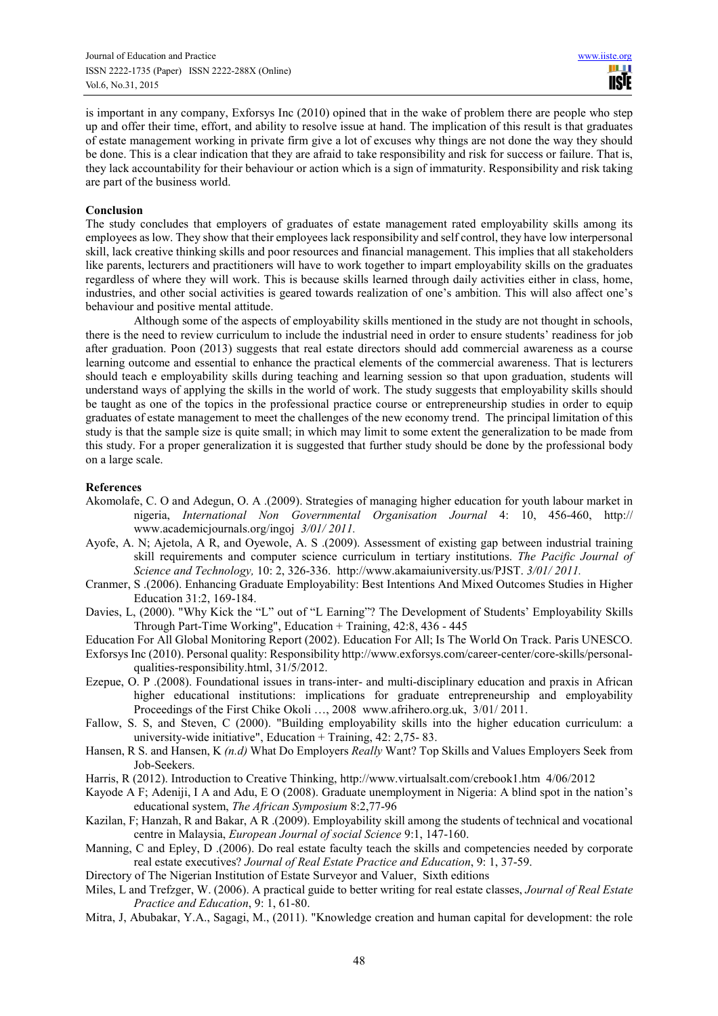is important in any company, Exforsys Inc (2010) opined that in the wake of problem there are people who step up and offer their time, effort, and ability to resolve issue at hand. The implication of this result is that graduates of estate management working in private firm give a lot of excuses why things are not done the way they should be done. This is a clear indication that they are afraid to take responsibility and risk for success or failure. That is, they lack accountability for their behaviour or action which is a sign of immaturity. Responsibility and risk taking are part of the business world.

## **Conclusion**

The study concludes that employers of graduates of estate management rated employability skills among its employees as low. They show that their employees lack responsibility and self control, they have low interpersonal skill, lack creative thinking skills and poor resources and financial management. This implies that all stakeholders like parents, lecturers and practitioners will have to work together to impart employability skills on the graduates regardless of where they will work. This is because skills learned through daily activities either in class, home, industries, and other social activities is geared towards realization of one's ambition. This will also affect one's behaviour and positive mental attitude.

Although some of the aspects of employability skills mentioned in the study are not thought in schools, there is the need to review curriculum to include the industrial need in order to ensure students' readiness for job after graduation. Poon (2013) suggests that real estate directors should add commercial awareness as a course learning outcome and essential to enhance the practical elements of the commercial awareness. That is lecturers should teach e employability skills during teaching and learning session so that upon graduation, students will understand ways of applying the skills in the world of work. The study suggests that employability skills should be taught as one of the topics in the professional practice course or entrepreneurship studies in order to equip graduates of estate management to meet the challenges of the new economy trend. The principal limitation of this study is that the sample size is quite small; in which may limit to some extent the generalization to be made from this study. For a proper generalization it is suggested that further study should be done by the professional body on a large scale.

#### **References**

- Akomolafe, C. O and Adegun, O. A .(2009). Strategies of managing higher education for youth labour market in nigeria, *International Non Governmental Organisation Journal* 4: 10, 456-460, http:// www.academicjournals.org/ingoj *3/01/ 2011.*
- Ayofe, A. N; Ajetola, A R, and Oyewole, A. S .(2009). Assessment of existing gap between industrial training skill requirements and computer science curriculum in tertiary institutions. *The Pacific Journal of Science and Technology,* 10: 2, 326-336. http://www.akamaiuniversity.us/PJST. *3/01/ 2011.*
- Cranmer, S .(2006). Enhancing Graduate Employability: Best Intentions And Mixed Outcomes Studies in Higher Education 31:2, 169-184.
- Davies, L, (2000). "Why Kick the "L" out of "L Earning"? The Development of Students' Employability Skills Through Part-Time Working", Education + Training, 42:8, 436 - 445

Education For All Global Monitoring Report (2002). Education For All; Is The World On Track. Paris UNESCO.

- Exforsys Inc (2010). Personal quality: Responsibility http://www.exforsys.com/career-center/core-skills/personalqualities-responsibility.html, 31/5/2012.
- Ezepue, O. P .(2008). Foundational issues in trans-inter- and multi-disciplinary education and praxis in African higher educational institutions: implications for graduate entrepreneurship and employability Proceedings of the First Chike Okoli …, 2008 www.afrihero.org.uk, 3/01/ 2011.
- Fallow, S. S, and Steven, C (2000). "Building employability skills into the higher education curriculum: a university-wide initiative", Education + Training,  $42: 2,75-83$ .
- Hansen, R S. and Hansen, K *(n.d)* What Do Employers *Really* Want? Top Skills and Values Employers Seek from Job-Seekers.
- Harris, R (2012). Introduction to Creative Thinking, http://www.virtualsalt.com/crebook1.htm 4/06/2012
- Kayode A F; Adeniji, I A and Adu, E O (2008). Graduate unemployment in Nigeria: A blind spot in the nation's educational system, *The African Symposium* 8:2,77-96
- Kazilan, F; Hanzah, R and Bakar, A R .(2009). Employability skill among the students of technical and vocational centre in Malaysia, *European Journal of social Science* 9:1, 147-160.
- Manning, C and Epley, D .(2006). Do real estate faculty teach the skills and competencies needed by corporate real estate executives? *Journal of Real Estate Practice and Education*, 9: 1, 37-59.
- Directory of The Nigerian Institution of Estate Surveyor and Valuer, Sixth editions
- Miles, L and Trefzger, W. (2006). A practical guide to better writing for real estate classes, *Journal of Real Estate Practice and Education*, 9: 1, 61-80.
- Mitra, J, Abubakar, Y.A., Sagagi, M., (2011). "Knowledge creation and human capital for development: the role